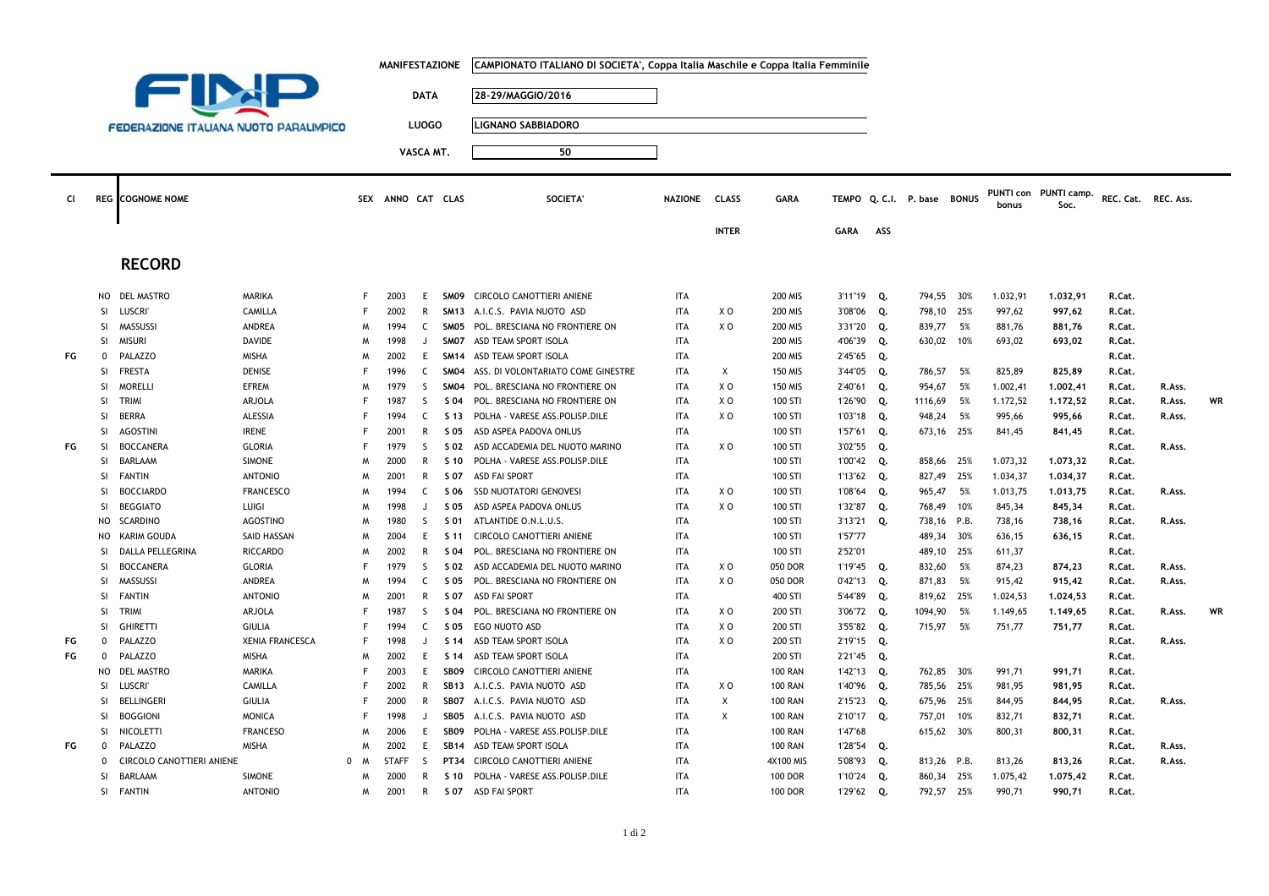|                                               |               |                           | <b>MANIFESTAZIONE</b>  |   |                   |              | CAMPIONATO ITALIANO DI SOCIETA', Coppa Italia Maschile e Coppa Italia Femminile |                                     |                |                |                |              |     |                       |     |          |                               |                     |        |    |
|-----------------------------------------------|---------------|---------------------------|------------------------|---|-------------------|--------------|---------------------------------------------------------------------------------|-------------------------------------|----------------|----------------|----------------|--------------|-----|-----------------------|-----|----------|-------------------------------|---------------------|--------|----|
| FIM                                           |               |                           |                        |   | <b>DATA</b>       |              |                                                                                 | 28-29/MAGGIO/2016                   |                |                |                |              |     |                       |     |          |                               |                     |        |    |
| <b>FEDERAZIONE ITALIANA NUOTO PARALIMPICO</b> |               |                           |                        |   |                   |              |                                                                                 | <b>LIGNANO SABBIADORO</b>           |                |                |                |              |     |                       |     |          |                               |                     |        |    |
|                                               |               |                           |                        |   | <b>LUOGO</b>      |              |                                                                                 |                                     |                |                |                |              |     |                       |     |          |                               |                     |        |    |
|                                               |               |                           |                        |   |                   | VASCA MT.    |                                                                                 | 50                                  |                |                |                |              |     |                       |     |          |                               |                     |        |    |
|                                               |               |                           |                        |   |                   |              |                                                                                 |                                     |                |                |                |              |     |                       |     |          |                               |                     |        |    |
| CI.                                           |               | <b>REG</b> COGNOME NOME   |                        |   | SEX ANNO CAT CLAS |              |                                                                                 | SOCIETA'                            | <b>NAZIONE</b> | <b>CLASS</b>   | <b>GARA</b>    | <b>TEMPO</b> |     | Q. C.I. P. base BONUS |     | bonus    | PUNTI con PUNTI camp.<br>Soc. | REC. Cat. REC. Ass. |        |    |
|                                               |               |                           |                        |   |                   |              |                                                                                 |                                     |                | <b>INTER</b>   |                | <b>GARA</b>  | ASS |                       |     |          |                               |                     |        |    |
|                                               |               | <b>RECORD</b>             |                        |   |                   |              |                                                                                 |                                     |                |                |                |              |     |                       |     |          |                               |                     |        |    |
|                                               | NO            | <b>DEL MASTRO</b>         | MARIKA                 | F | 2003              | E            |                                                                                 | SM09 CIRCOLO CANOTTIERI ANIENE      | <b>ITA</b>     |                | <b>200 MIS</b> | 3'11"19 Q.   |     | 794.55 30%            |     | 1.032,91 | 1.032,91                      | R.Cat.              |        |    |
|                                               | SI            | <b>LUSCRI</b>             | CAMILLA                | F | 2002              | $\mathsf{R}$ |                                                                                 | SM13 A.I.C.S. PAVIA NUOTO ASD       | <b>ITA</b>     | X O            | <b>200 MIS</b> | 3'08"06      | Q.  | 798,10 25%            |     | 997,62   | 997,62                        | R.Cat.              |        |    |
|                                               | <b>SI</b>     | MASSUSSI                  | <b>ANDREA</b>          | M | 1994              | C.           |                                                                                 | SM05 POL. BRESCIANA NO FRONTIERE ON | <b>ITA</b>     | X <sub>0</sub> | <b>200 MIS</b> | 3'31"20      | Q.  | 839,77 5%             |     | 881,76   | 881,76                        | R.Cat.              |        |    |
|                                               | <b>SI</b>     | <b>MISURI</b>             | <b>DAVIDE</b>          | M | 1998              | $\cdot$      | SM07                                                                            | ASD TEAM SPORT ISOLA                | <b>ITA</b>     |                | <b>200 MIS</b> | 4'06"39      | Q.  | 630,02 10%            |     | 693,02   | 693,02                        | R.Cat.              |        |    |
| FG                                            | $\Omega$      | PALAZZO                   | <b>MISHA</b>           | M | 2002              | E            |                                                                                 | SM14 ASD TEAM SPORT ISOLA           | <b>ITA</b>     |                | <b>200 MIS</b> | 2'45"65      | Q.  |                       |     |          |                               | R.Cat.              |        |    |
|                                               | <b>SI</b>     | <b>FRESTA</b>             | <b>DENISE</b>          | F | 1996              | $\epsilon$   | SM <sub>04</sub>                                                                | ASS. DI VOLONTARIATO COME GINESTRE  | <b>ITA</b>     | Χ              | <b>150 MIS</b> | 3'44"05      | Q.  | 786,57                | 5%  | 825,89   | 825,89                        | R.Cat.              |        |    |
|                                               | <sup>SI</sup> | <b>MORELLI</b>            | <b>EFREM</b>           | M | 1979              | S.           | <b>SM04</b>                                                                     | POL. BRESCIANA NO FRONTIERE ON      | <b>ITA</b>     | X O            | <b>150 MIS</b> | 2'40"61 Q.   |     | 954,67                | 5%  | 1.002,41 | 1.002,41                      | R.Cat.              | R.Ass. |    |
|                                               | <b>SI</b>     | <b>TRIMI</b>              | <b>ARJOLA</b>          | F | 1987              | S.           | S 04                                                                            | POL. BRESCIANA NO FRONTIERE ON      | <b>ITA</b>     | X O            | 100 STI        | 1'26"90      | Q.  | 1116,69               | 5%  | 1.172,52 | 1.172,52                      | R.Cat.              | R.Ass. | WR |
|                                               | <b>SI</b>     | <b>BERRA</b>              | ALESSIA                | F | 1994              | C            | S 13                                                                            | POLHA - VARESE ASS.POLISP.DILE      | <b>ITA</b>     | X O            | 100 STI        | 1'03"18 Q.   |     | 948,24 5%             |     | 995,66   | 995,66                        | R.Cat.              | R.Ass. |    |
|                                               | <b>SI</b>     | <b>AGOSTINI</b>           | <b>IRENE</b>           | F | 2001              | R            | S 05                                                                            | ASD ASPEA PADOVA ONLUS              | <b>ITA</b>     |                | 100 STI        | 1'57"61 Q.   |     | 673,16 25%            |     | 841,45   | 841,45                        | R.Cat.              |        |    |
| FG                                            | <b>SI</b>     | <b>BOCCANERA</b>          | <b>GLORIA</b>          | F | 1979              | S.           | S 02                                                                            | ASD ACCADEMIA DEL NUOTO MARINO      | <b>ITA</b>     | X O            | 100 STI        | 3'02"55 Q.   |     |                       |     |          |                               | R.Cat.              | R.Ass. |    |
|                                               | SI.           | <b>BARLAAM</b>            | <b>SIMONE</b>          | M | 2000              | $\mathsf{R}$ | S 10                                                                            | POLHA - VARESE ASS.POLISP.DILE      | <b>ITA</b>     |                | 100 STI        | 1'00"42 Q.   |     | 858,66                | 25% | 1.073,32 | 1,073,32                      | R.Cat.              |        |    |
|                                               | SI            | <b>FANTIN</b>             | <b>ANTONIO</b>         | M | 2001              | R            | S 07                                                                            | <b>ASD FAI SPORT</b>                | <b>ITA</b>     |                | 100 STI        | 1'13"62 Q.   |     | 827,49 25%            |     | 1.034,37 | 1.034,37                      | R.Cat.              |        |    |
|                                               | SI.           | <b>BOCCIARDO</b>          | <b>FRANCESCO</b>       | M | 1994              | C            | S 06                                                                            | <b>SSD NUOTATORI GENOVES</b>        | <b>ITA</b>     | X O            | 100 STI        | 1'08"64      | Q.  | 965,47                | 5%  | 1.013,75 | 1,013,75                      | R.Cat.              | R.Ass. |    |
|                                               | <b>SI</b>     | <b>BEGGIATO</b>           | LUIGI                  | M | 1998              | J.           | S 05                                                                            | ASD ASPEA PADOVA ONLUS              | <b>ITA</b>     | X O            | 100 STI        | 1'32"87      | Q.  | 768,49 10%            |     | 845,34   | 845,34                        | R.Cat.              |        |    |
|                                               | NO            | <b>SCARDINO</b>           | <b>AGOSTINO</b>        | M | 1980              | S.           | S 01                                                                            | ATLANTIDE O.N.L.U.S.                | <b>ITA</b>     |                | 100 STI        | 3'13"21      | Q.  | 738,16 P.B.           |     | 738,16   | 738,16                        | R.Cat.              | R.Ass. |    |
|                                               | NO            | <b>KARIM GOUDA</b>        | SAID HASSAN            | M | 2004              | E.           | S 11                                                                            | CIRCOLO CANOTTIERI ANIENE           | <b>ITA</b>     |                | 100 STI        | 1'57"77      |     | 489,34 30%            |     | 636,15   | 636,15                        | R.Cat.              |        |    |
|                                               | -SI           | DALLA PELLEGRINA          | <b>RICCARDO</b>        | M | 2002              | $\mathsf{R}$ | S 04                                                                            | POL. BRESCIANA NO FRONTIERE ON      | <b>ITA</b>     |                | 100 STI        | 2'52"01      |     | 489,10 25%            |     | 611,37   |                               | R.Cat.              |        |    |
|                                               | <b>SI</b>     | <b>BOCCANERA</b>          | <b>GLORIA</b>          | F | 1979              | S.           | S 02                                                                            | ASD ACCADEMIA DEL NUOTO MARINO      | <b>ITA</b>     | X O            | 050 DOR        | 1'19"45 Q.   |     | 832,60                | 5%  | 874,23   | 874,23                        | R.Cat.              | R.Ass. |    |
|                                               | <b>SI</b>     | MASSUSSI                  | ANDREA                 | M | 1994              | C            | S 05                                                                            | POL. BRESCIANA NO FRONTIERE ON      | <b>ITA</b>     | X O            | 050 DOR        | $0'42"13$ Q. |     | 871,83                | 5%  | 915,42   | 915,42                        | R.Cat.              | R.Ass. |    |
|                                               | SI.           | <b>FANTIN</b>             | <b>ANTONIO</b>         | M | 2001              | R            | S 07                                                                            | <b>ASD FAI SPORT</b>                | <b>ITA</b>     |                | 400 STI        | 5'44"89      | Q.  | 819,62 25%            |     | 1.024,53 | 1.024,53                      | R.Cat.              |        |    |
|                                               | <b>SI</b>     | TRIMI                     | ARJOLA                 | F | 1987              | S.           | S 04                                                                            | POL. BRESCIANA NO FRONTIERE ON      | <b>ITA</b>     | X <sub>0</sub> | 200 STI        | 3'06"72      | Q.  | 1094,90               | 5%  | 1.149,65 | 1.149,65                      | R.Cat.              | R.Ass. | WR |
|                                               | <b>SI</b>     | <b>GHIRETTI</b>           | <b>GIULIA</b>          | F | 1994              | C            | S 05                                                                            | EGO NUOTO ASD                       | <b>ITA</b>     | X O            | 200 STI        | 3'55"82 Q.   |     | 715,97 5%             |     | 751,77   | 751,77                        | R.Cat.              |        |    |
| FG                                            | $\mathbf 0$   | PALAZZO                   | <b>XENIA FRANCESCA</b> | F | 1998              | $\mathbf{I}$ | S 14                                                                            | ASD TEAM SPORT ISOLA                | <b>ITA</b>     | X O            | 200 STI        | 2'19"15 Q.   |     |                       |     |          |                               | R.Cat.              | R.Ass. |    |
| FG                                            | $\mathbf{0}$  | PALAZZO                   | <b>MISHA</b>           | M | 2002              | E.           | S 14                                                                            | ASD TEAM SPORT ISOLA                | <b>ITA</b>     |                | 200 STI        | 2'21"45      | Q.  |                       |     |          |                               | R.Cat.              |        |    |
|                                               | NO            | <b>DEL MASTRO</b>         | MARIKA                 | F | 2003              | E.           | SB09                                                                            | CIRCOLO CANOTTIERI ANIENE           | <b>ITA</b>     |                | <b>100 RAN</b> | 1'42"13 Q.   |     | 762,85 30%            |     | 991,71   | 991,71                        | R.Cat.              |        |    |
|                                               | SI            | <b>LUSCRI</b>             | CAMILLA                | F | 2002              | R            |                                                                                 | SB13 A.I.C.S. PAVIA NUOTO ASD       | <b>ITA</b>     | X O            | <b>100 RAN</b> | 1'40"96      | Q.  | 785,56 25%            |     | 981,95   | 981,95                        | R.Cat.              |        |    |
|                                               | SI            | <b>BELLINGERI</b>         | <b>GIULIA</b>          | F | 2000              | R            | SB07                                                                            | A.I.C.S. PAVIA NUOTO ASD            | <b>ITA</b>     | X              | <b>100 RAN</b> | 2'15"23      | Q.  | 675,96 25%            |     | 844,95   | 844,95                        | R.Cat.              | R.Ass. |    |
|                                               | SI            | <b>BOGGIONI</b>           | <b>MONICA</b>          | F | 1998              | J.           | SB05                                                                            | A.I.C.S. PAVIA NUOTO ASD            | <b>ITA</b>     | X              | <b>100 RAN</b> | 2'10"17      | Q.  | 757,01                | 10% | 832,71   | 832,71                        | R.Cat.              |        |    |
|                                               | SI            | NICOLETTI                 | <b>FRANCESO</b>        | M | 2006              | Ε            | SB09                                                                            | POLHA - VARESE ASS.POLISP.DILE      | <b>ITA</b>     |                | <b>100 RAN</b> | 1'47"68      |     | 615,62 30%            |     | 800,31   | 800,31                        | R.Cat.              |        |    |
| FG                                            | $\mathbf 0$   | PALAZZO                   | <b>MISHA</b>           | M | 2002              | E.           | <b>SB14</b>                                                                     | ASD TEAM SPORT ISOLA                | <b>ITA</b>     |                | <b>100 RAN</b> | 1'28"54 Q.   |     |                       |     |          |                               | R.Cat.              | R.Ass. |    |
|                                               | $\mathbf 0$   | CIRCOLO CANOTTIERI ANIENE | 0                      | M | <b>STAFF</b>      | <sub>S</sub> | <b>PT34</b>                                                                     | CIRCOLO CANOTTIERI ANIENE           | <b>ITA</b>     |                | 4X100 MIS      | 5'08"93      | Q.  | 813,26 P.B.           |     | 813,26   | 813,26                        | R.Cat.              | R.Ass. |    |
|                                               | SI.           | <b>BARLAAM</b>            | <b>SIMONE</b>          | M | 2000              | R            | S 10                                                                            | POLHA - VARESE ASS.POLISP.DILE      | <b>ITA</b>     |                | <b>100 DOR</b> | 1'10"24      | Q.  | 860,34 25%            |     | 1.075,42 | 1,075,42                      | R.Cat.              |        |    |
|                                               | SI            | FANTIN                    | <b>ANTONIO</b>         | M | 2001              | $\mathsf{R}$ | S 07                                                                            | <b>ASD FAI SPORT</b>                | <b>ITA</b>     |                | <b>100 DOR</b> | 1'29"62      | Q.  | 792,57 25%            |     | 990,71   | 990,71                        | R.Cat.              |        |    |